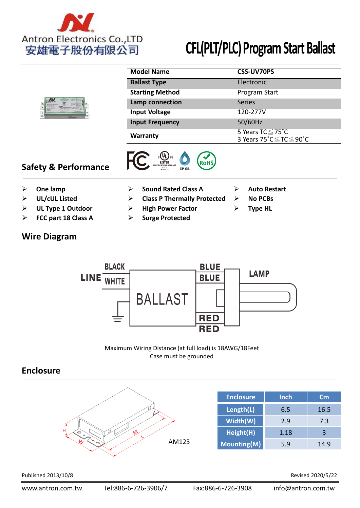

|                                 | <b>Model Name</b>                              | <b>CSS-UV70PS</b>                             |
|---------------------------------|------------------------------------------------|-----------------------------------------------|
|                                 | <b>Ballast Type</b>                            | Electronic                                    |
|                                 | <b>Starting Method</b>                         | Program Start                                 |
|                                 | Lamp connection                                | <b>Series</b>                                 |
|                                 | <b>Input Voltage</b>                           | 120-277V                                      |
|                                 | <b>Input Frequency</b>                         | 50/60Hz                                       |
|                                 | <b>Warranty</b>                                | 5 Years TC ≤ 75°C<br>3 Years 75°C ≤ TC ≤ 90°C |
| <b>Safety &amp; Performance</b> | LUORESCENT BALLAST<br>43Z2<br>E108418<br>IP 65 |                                               |

- 
- 
- **Example 1 Outdoor COM EXAMP FACTION EXAMPLE EXAMPLE FOR TYPE HL**
- **FCC part 18 Class A Surge Protected**

## **Wire Diagram**

- **Sound Rated Class A Sound Rated Class A Auto Restart**
- **Example 2 UL/cUL Listed Class P Thermally Protected Also No PCBs** 
	-
	-
- 
- 
- 



Maximum Wiring Distance (at full load) is 18AWG/18Feet Case must be grounded

## **Enclosure**



Published 2013/10/8 Revised 2020/5/22